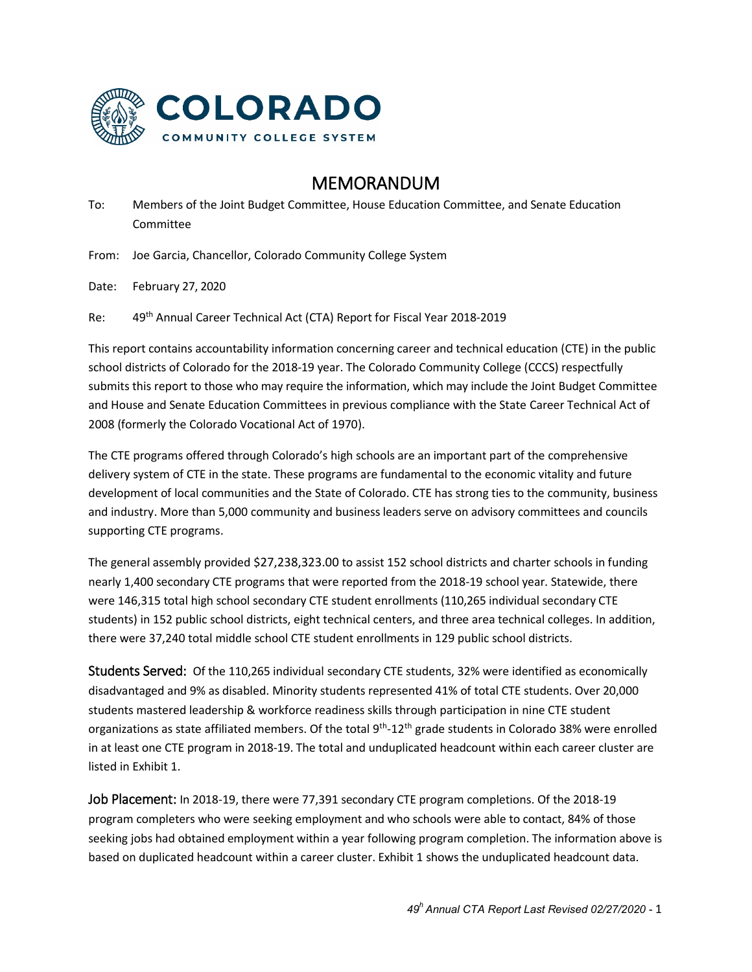

## MEMORANDUM

To: Members of the Joint Budget Committee, House Education Committee, and Senate Education Committee

From: Joe Garcia, Chancellor, Colorado Community College System

Date: February 27, 2020

Re: 49th Annual Career Technical Act (CTA) Report for Fiscal Year 2018-2019

This report contains accountability information concerning career and technical education (CTE) in the public school districts of Colorado for the 2018-19 year. The Colorado Community College (CCCS) respectfully submits this report to those who may require the information, which may include the Joint Budget Committee and House and Senate Education Committees in previous compliance with the State Career Technical Act of 2008 (formerly the Colorado Vocational Act of 1970).

The CTE programs offered through Colorado's high schools are an important part of the comprehensive delivery system of CTE in the state. These programs are fundamental to the economic vitality and future development of local communities and the State of Colorado. CTE has strong ties to the community, business and industry. More than 5,000 community and business leaders serve on advisory committees and councils supporting CTE programs.

The general assembly provided \$27,238,323.00 to assist 152 school districts and charter schools in funding nearly 1,400 secondary CTE programs that were reported from the 2018-19 school year. Statewide, there were 146,315 total high school secondary CTE student enrollments (110,265 individual secondary CTE students) in 152 public school districts, eight technical centers, and three area technical colleges. In addition, there were 37,240 total middle school CTE student enrollments in 129 public school districts.

Students Served: Of the 110,265 individual secondary CTE students, 32% were identified as economically disadvantaged and 9% as disabled. Minority students represented 41% of total CTE students. Over 20,000 students mastered leadership & workforce readiness skills through participation in nine CTE student organizations as state affiliated members. Of the total 9<sup>th</sup>-12<sup>th</sup> grade students in Colorado 38% were enrolled in at least one CTE program in 2018-19. The total and unduplicated headcount within each career cluster are listed in Exhibit 1.

Job Placement: In 2018-19, there were 77,391 secondary CTE program completions. Of the 2018-19 program completers who were seeking employment and who schools were able to contact, 84% of those seeking jobs had obtained employment within a year following program completion. The information above is based on duplicated headcount within a career cluster. Exhibit 1 shows the unduplicated headcount data.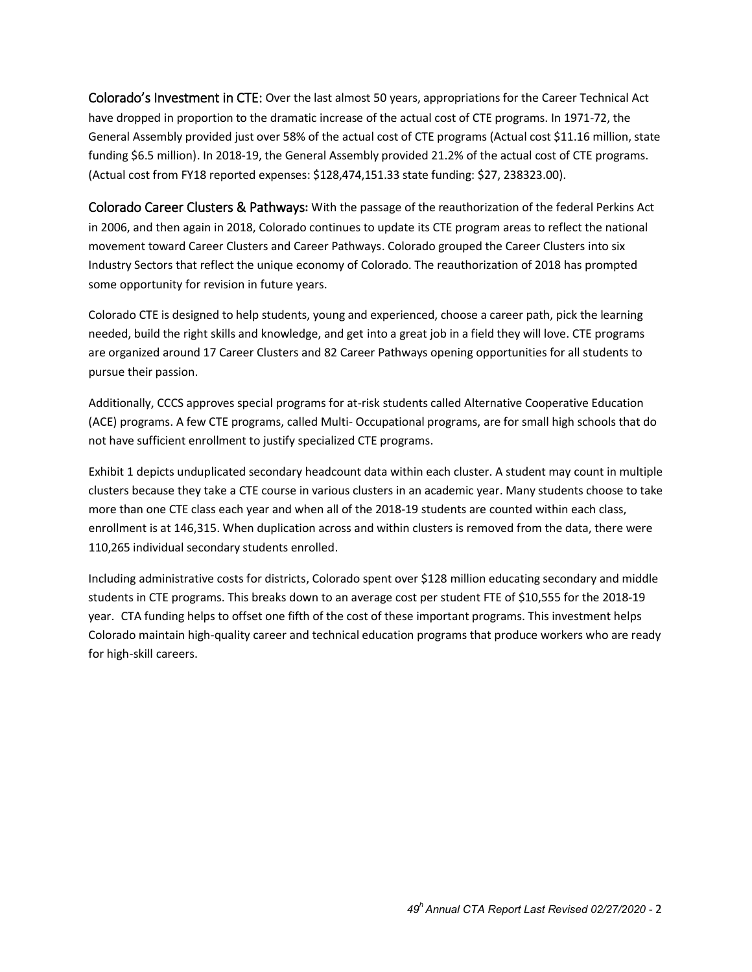Colorado's Investment in CTE: Over the last almost 50 years, appropriations for the Career Technical Act have dropped in proportion to the dramatic increase of the actual cost of CTE programs. In 1971-72, the General Assembly provided just over 58% of the actual cost of CTE programs (Actual cost \$11.16 million, state funding \$6.5 million). In 2018-19, the General Assembly provided 21.2% of the actual cost of CTE programs. (Actual cost from FY18 reported expenses: \$128,474,151.33 state funding: \$27, 238323.00).

Colorado Career Clusters & Pathways**:** With the passage of the reauthorization of the federal Perkins Act in 2006, and then again in 2018, Colorado continues to update its CTE program areas to reflect the national movement toward Career Clusters and Career Pathways. Colorado grouped the Career Clusters into six Industry Sectors that reflect the unique economy of Colorado. The reauthorization of 2018 has prompted some opportunity for revision in future years.

Colorado CTE is designed to help students, young and experienced, choose a career path, pick the learning needed, build the right skills and knowledge, and get into a great job in a field they will love. CTE programs are organized around 17 Career Clusters and 82 Career Pathways opening opportunities for all students to pursue their passion.

Additionally, CCCS approves special programs for at-risk students called Alternative Cooperative Education (ACE) programs. A few CTE programs, called Multi- Occupational programs, are for small high schools that do not have sufficient enrollment to justify specialized CTE programs.

Exhibit 1 depicts unduplicated secondary headcount data within each cluster. A student may count in multiple clusters because they take a CTE course in various clusters in an academic year. Many students choose to take more than one CTE class each year and when all of the 2018-19 students are counted within each class, enrollment is at 146,315. When duplication across and within clusters is removed from the data, there were 110,265 individual secondary students enrolled.

Including administrative costs for districts, Colorado spent over \$128 million educating secondary and middle students in CTE programs. This breaks down to an average cost per student FTE of \$10,555 for the 2018-19 year. CTA funding helps to offset one fifth of the cost of these important programs. This investment helps Colorado maintain high-quality career and technical education programs that produce workers who are ready for high-skill careers.